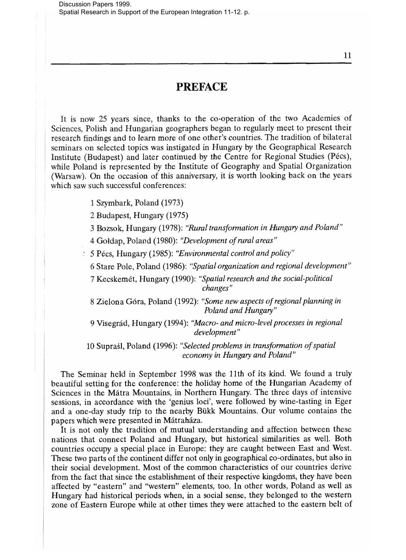## **PREFACE**

It is now 25 years since, thanks to the co-operation of the two Academies of Sciences, Polish and Hungarian geographers began to regularly meet to present their research findings and to learn more of one other's countries. The tradition of bilateral seminars on selected topics was instigated in Hungary by the Geographical Research Institute (Budapest) and later continued by the Centre for Regional Studies (Pécs), while Poland is represented by the Institute of Geography and Spatial Organization (Warsaw). On the occasion of this anniversary, it is worth looking back on the years which saw such successful conferences:

- 1 Szymbark, Poland (1973)
- 2 Budapest, Hungary (1975)
- 3 Bozsok, Hungary (1978): *"Rural transformation in Hungary and Poland"*
- 4 Goldap, Poland (1980): *"Development of rural areas"*
- 5 Pecs, Hungary (1985): *"Environmental control and policy"* 
	- 6 Stare Pole, Poland (1986): *"Spatial organization and regional development"*

7 Kecskemet, Hungary (1990): *"Spatial research and the social-political changes"* 

8 Zielona Gora, Poland (1992): *"Some new aspects of regional planning in Poland and Hungary"* 

9 Visegrad, Hungary (1994): *"Macro- and micro-level processes in regional development"* 

10 Supraśl, Poland (1996): "Selected problems in transformation of spatial *economy in Hungary and Poland"* 

The Seminar held in September 1998 was the 11th of its kind. We found a truly beautiful setting for the conference: the holiday home of the Hungarian Academy of Sciences in the Matra Mountains, in Northern Hungary. The three days of intensive sessions, in accordance with the 'genius loci', were followed by wine-tasting in Eger and a one-day study trip to the nearby Biikk Mountains. Our volume contains the papers which were presented in Matrahaza.

It is not only the tradition of mutual understanding and affection between these nations that connect Poland and Hungary, but historical similarities as well. Both countries occupy a special place in Europe: they are caught between East and West. These two parts of the continent differ not only in geographical co-ordinates, but also in their social development. Most of the common characteristics of our countries derive from the fact that since the establishment of their respective kingdoms, they have been affected by "eastern" and "western" elements, too. In other words, Poland as well as Hungary had historical periods when, in a social sense, they belonged to the western zone of Eastern Europe while at other times they were attached to the eastern belt of